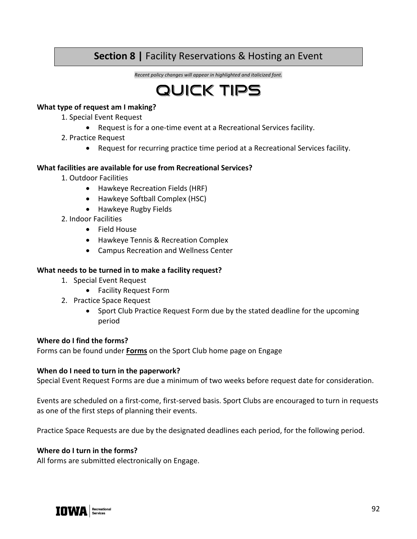# **Section 8 |** Facility Reservations & Hosting an Event

*Recent policy changes will appear in highlighted and italicized font.*



#### **What type of request am I making?**

- 1. Special Event Request
	- Request is for a one-time event at a Recreational Services facility.
- 2. Practice Request
	- Request for recurring practice time period at a Recreational Services facility.

#### **What facilities are available for use from Recreational Services?**

- 1. Outdoor Facilities
	- Hawkeye Recreation Fields (HRF)
	- Hawkeye Softball Complex (HSC)
	- Hawkeye Rugby Fields
- 2. Indoor Facilities
	- Field House
	- Hawkeye Tennis & Recreation Complex
	- Campus Recreation and Wellness Center

#### **What needs to be turned in to make a facility request?**

- 1. Special Event Request
	- Facility Request Form
- 2. Practice Space Request
	- Sport Club Practice Request Form due by the stated deadline for the upcoming period

#### **Where do I find the forms?**

Forms can be found under **Forms** on the Sport Club home page on Engage

#### **When do I need to turn in the paperwork?**

Special Event Request Forms are due a minimum of two weeks before request date for consideration.

Events are scheduled on a first-come, first-served basis. Sport Clubs are encouraged to turn in requests as one of the first steps of planning their events.

Practice Space Requests are due by the designated deadlines each period, for the following period.

#### **Where do I turn in the forms?**

All forms are submitted electronically on Engage.

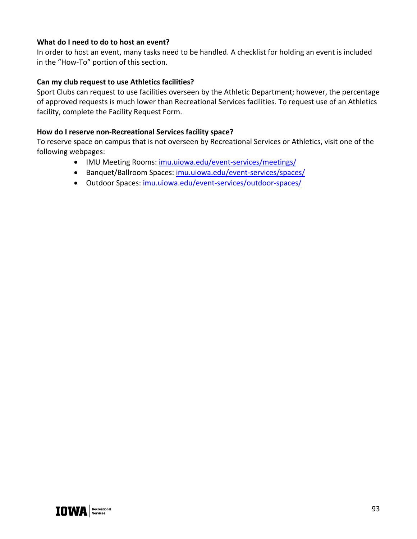## **What do I need to do to host an event?**

In order to host an event, many tasks need to be handled. A checklist for holding an event is included in the "How-To" portion of this section.

#### **Can my club request to use Athletics facilities?**

Sport Clubs can request to use facilities overseen by the Athletic Department; however, the percentage of approved requests is much lower than Recreational Services facilities. To request use of an Athletics facility, complete the Facility Request Form.

#### **How do I reserve non-Recreational Services facility space?**

To reserve space on campus that is not overseen by Recreational Services or Athletics, visit one of the following webpages:

- IMU Meeting Rooms: imu.uiowa.edu/event-services/meetings/
- Banquet/Ballroom Spaces: imu.uiowa.edu/event-services/spaces/
- Outdoor Spaces: imu.uiowa.edu/event-services/outdoor-spaces/

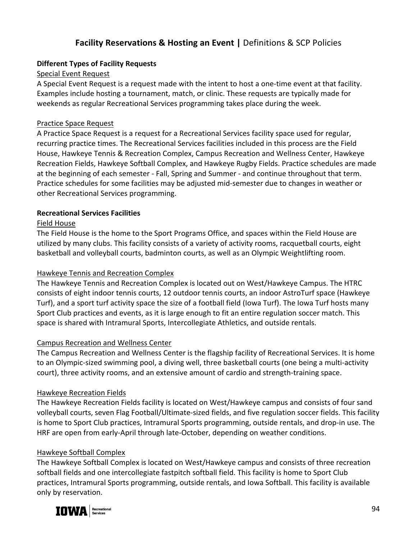# **Facility Reservations & Hosting an Event |** Definitions & SCP Policies

## **Different Types of Facility Requests**

# Special Event Request

A Special Event Request is a request made with the intent to host a one-time event at that facility. Examples include hosting a tournament, match, or clinic. These requests are typically made for weekends as regular Recreational Services programming takes place during the week.

# Practice Space Request

A Practice Space Request is a request for a Recreational Services facility space used for regular, recurring practice times. The Recreational Services facilities included in this process are the Field House, Hawkeye Tennis & Recreation Complex, Campus Recreation and Wellness Center, Hawkeye Recreation Fields, Hawkeye Softball Complex, and Hawkeye Rugby Fields. Practice schedules are made at the beginning of each semester - Fall, Spring and Summer - and continue throughout that term. Practice schedules for some facilities may be adjusted mid-semester due to changes in weather or other Recreational Services programming.

# **Recreational Services Facilities**

## Field House

The Field House is the home to the Sport Programs Office, and spaces within the Field House are utilized by many clubs. This facility consists of a variety of activity rooms, racquetball courts, eight basketball and volleyball courts, badminton courts, as well as an Olympic Weightlifting room.

# Hawkeye Tennis and Recreation Complex

The Hawkeye Tennis and Recreation Complex is located out on West/Hawkeye Campus. The HTRC consists of eight indoor tennis courts, 12 outdoor tennis courts, an indoor AstroTurf space (Hawkeye Turf), and a sport turf activity space the size of a football field (Iowa Turf). The Iowa Turf hosts many Sport Club practices and events, as it is large enough to fit an entire regulation soccer match. This space is shared with Intramural Sports, Intercollegiate Athletics, and outside rentals.

## Campus Recreation and Wellness Center

The Campus Recreation and Wellness Center is the flagship facility of Recreational Services. It is home to an Olympic-sized swimming pool, a diving well, three basketball courts (one being a multi-activity court), three activity rooms, and an extensive amount of cardio and strength-training space.

## Hawkeye Recreation Fields

The Hawkeye Recreation Fields facility is located on West/Hawkeye campus and consists of four sand volleyball courts, seven Flag Football/Ultimate-sized fields, and five regulation soccer fields. This facility is home to Sport Club practices, Intramural Sports programming, outside rentals, and drop-in use. The HRF are open from early-April through late-October, depending on weather conditions.

# Hawkeye Softball Complex

The Hawkeye Softball Complex is located on West/Hawkeye campus and consists of three recreation softball fields and one intercollegiate fastpitch softball field. This facility is home to Sport Club practices, Intramural Sports programming, outside rentals, and Iowa Softball. This facility is available only by reservation.

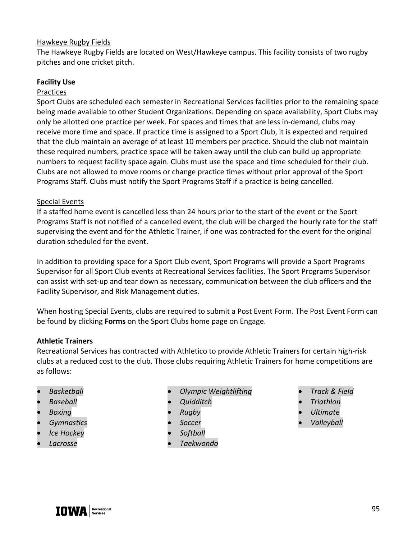#### Hawkeye Rugby Fields

The Hawkeye Rugby Fields are located on West/Hawkeye campus. This facility consists of two rugby pitches and one cricket pitch.

#### **Facility Use**

#### Practices

Sport Clubs are scheduled each semester in Recreational Services facilities prior to the remaining space being made available to other Student Organizations. Depending on space availability, Sport Clubs may only be allotted one practice per week. For spaces and times that are less in-demand, clubs may receive more time and space. If practice time is assigned to a Sport Club, it is expected and required that the club maintain an average of at least 10 members per practice. Should the club not maintain these required numbers, practice space will be taken away until the club can build up appropriate numbers to request facility space again. Clubs must use the space and time scheduled for their club. Clubs are not allowed to move rooms or change practice times without prior approval of the Sport Programs Staff. Clubs must notify the Sport Programs Staff if a practice is being cancelled.

#### Special Events

If a staffed home event is cancelled less than 24 hours prior to the start of the event or the Sport Programs Staff is not notified of a cancelled event, the club will be charged the hourly rate for the staff supervising the event and for the Athletic Trainer, if one was contracted for the event for the original duration scheduled for the event.

In addition to providing space for a Sport Club event, Sport Programs will provide a Sport Programs Supervisor for all Sport Club events at Recreational Services facilities. The Sport Programs Supervisor can assist with set-up and tear down as necessary, communication between the club officers and the Facility Supervisor, and Risk Management duties.

When hosting Special Events, clubs are required to submit a Post Event Form. The Post Event Form can be found by clicking **Forms** on the Sport Clubs home page on Engage.

#### **Athletic Trainers**

Recreational Services has contracted with Athletico to provide Athletic Trainers for certain high-risk clubs at a reduced cost to the club. Those clubs requiring Athletic Trainers for home competitions are as follows:

- *Basketball*
- *Baseball*
- *Boxing*
- *Gymnastics*
- *Ice Hockey*
- *Lacrosse*
- *Olympic Weightlifting*
- *Quidditch*
- *Rugby*
- *Soccer*
- *Softball*
- *Taekwondo*
- *Track & Field*
- *Triathlon*
- *Ultimate*
- *Volleyball*

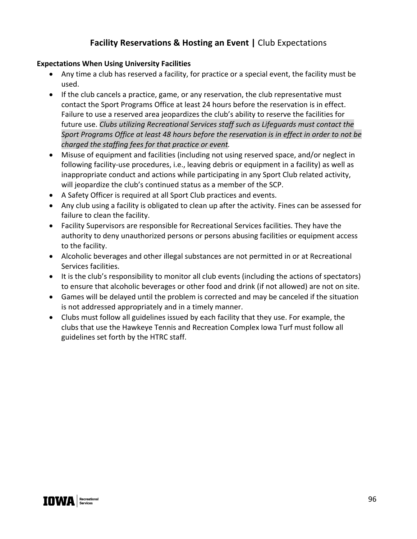# **Facility Reservations & Hosting an Event |** Club Expectations

## **Expectations When Using University Facilities**

- Any time a club has reserved a facility, for practice or a special event, the facility must be used.
- If the club cancels a practice, game, or any reservation, the club representative must contact the Sport Programs Office at least 24 hours before the reservation is in effect. Failure to use a reserved area jeopardizes the club's ability to reserve the facilities for future use. *Clubs utilizing Recreational Services staff such as Lifeguards must contact the Sport Programs Office at least 48 hours before the reservation is in effect in order to not be charged the staffing fees for that practice or event.*
- Misuse of equipment and facilities (including not using reserved space, and/or neglect in following facility-use procedures, i.e., leaving debris or equipment in a facility) as well as inappropriate conduct and actions while participating in any Sport Club related activity, will jeopardize the club's continued status as a member of the SCP.
- A Safety Officer is required at all Sport Club practices and events.
- Any club using a facility is obligated to clean up after the activity. Fines can be assessed for failure to clean the facility.
- Facility Supervisors are responsible for Recreational Services facilities. They have the authority to deny unauthorized persons or persons abusing facilities or equipment access to the facility.
- Alcoholic beverages and other illegal substances are not permitted in or at Recreational Services facilities.
- It is the club's responsibility to monitor all club events (including the actions of spectators) to ensure that alcoholic beverages or other food and drink (if not allowed) are not on site.
- Games will be delayed until the problem is corrected and may be canceled if the situation is not addressed appropriately and in a timely manner.
- Clubs must follow all guidelines issued by each facility that they use. For example, the clubs that use the Hawkeye Tennis and Recreation Complex Iowa Turf must follow all guidelines set forth by the HTRC staff.

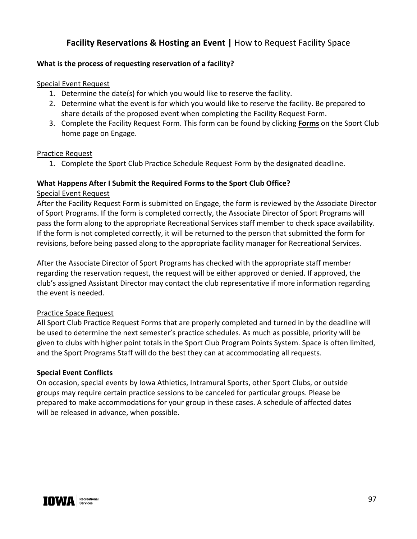# **Facility Reservations & Hosting an Event |** How to Request Facility Space

# **What is the process of requesting reservation of a facility?**

#### Special Event Request

- 1. Determine the date(s) for which you would like to reserve the facility.
- 2. Determine what the event is for which you would like to reserve the facility. Be prepared to share details of the proposed event when completing the Facility Request Form.
- 3. Complete the Facility Request Form. This form can be found by clicking **Forms** on the Sport Club home page on Engage.

## Practice Request

1. Complete the Sport Club Practice Schedule Request Form by the designated deadline.

#### **What Happens After I Submit the Required Forms to the Sport Club Office?**

## Special Event Request

After the Facility Request Form is submitted on Engage, the form is reviewed by the Associate Director of Sport Programs. If the form is completed correctly, the Associate Director of Sport Programs will pass the form along to the appropriate Recreational Services staff member to check space availability. If the form is not completed correctly, it will be returned to the person that submitted the form for revisions, before being passed along to the appropriate facility manager for Recreational Services.

After the Associate Director of Sport Programs has checked with the appropriate staff member regarding the reservation request, the request will be either approved or denied. If approved, the club's assigned Assistant Director may contact the club representative if more information regarding the event is needed.

## Practice Space Request

All Sport Club Practice Request Forms that are properly completed and turned in by the deadline will be used to determine the next semester's practice schedules. As much as possible, priority will be given to clubs with higher point totals in the Sport Club Program Points System. Space is often limited, and the Sport Programs Staff will do the best they can at accommodating all requests.

## **Special Event Conflicts**

On occasion, special events by Iowa Athletics, Intramural Sports, other Sport Clubs, or outside groups may require certain practice sessions to be canceled for particular groups. Please be prepared to make accommodations for your group in these cases. A schedule of affected dates will be released in advance, when possible.

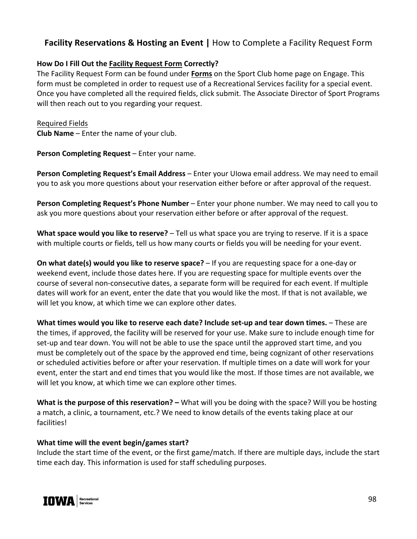# **Facility Reservations & Hosting an Event |** How to Complete a Facility Request Form

# **How Do I Fill Out the Facility Request Form Correctly?**

The Facility Request Form can be found under **Forms** on the Sport Club home page on Engage. This form must be completed in order to request use of a Recreational Services facility for a special event. Once you have completed all the required fields, click submit. The Associate Director of Sport Programs will then reach out to you regarding your request.

Required Fields **Club Name** – Enter the name of your club.

**Person Completing Request** – Enter your name.

**Person Completing Request's Email Address** – Enter your UIowa email address. We may need to email you to ask you more questions about your reservation either before or after approval of the request.

**Person Completing Request's Phone Number** – Enter your phone number. We may need to call you to ask you more questions about your reservation either before or after approval of the request.

**What space would you like to reserve?** – Tell us what space you are trying to reserve. If it is a space with multiple courts or fields, tell us how many courts or fields you will be needing for your event.

**On what date(s) would you like to reserve space?** – If you are requesting space for a one-day or weekend event, include those dates here. If you are requesting space for multiple events over the course of several non-consecutive dates, a separate form will be required for each event. If multiple dates will work for an event, enter the date that you would like the most. If that is not available, we will let you know, at which time we can explore other dates.

**What times would you like to reserve each date? Include set-up and tear down times.** – These are the times, if approved, the facility will be reserved for your use. Make sure to include enough time for set-up and tear down. You will not be able to use the space until the approved start time, and you must be completely out of the space by the approved end time, being cognizant of other reservations or scheduled activities before or after your reservation. If multiple times on a date will work for your event, enter the start and end times that you would like the most. If those times are not available, we will let you know, at which time we can explore other times.

**What is the purpose of this reservation? –** What will you be doing with the space? Will you be hosting a match, a clinic, a tournament, etc.? We need to know details of the events taking place at our facilities!

## **What time will the event begin/games start?**

Include the start time of the event, or the first game/match. If there are multiple days, include the start time each day. This information is used for staff scheduling purposes.

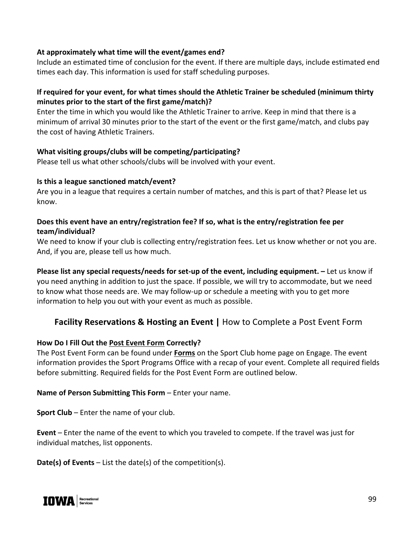# **At approximately what time will the event/games end?**

Include an estimated time of conclusion for the event. If there are multiple days, include estimated end times each day. This information is used for staff scheduling purposes.

# **If required for your event, for what times should the Athletic Trainer be scheduled (minimum thirty minutes prior to the start of the first game/match)?**

Enter the time in which you would like the Athletic Trainer to arrive. Keep in mind that there is a minimum of arrival 30 minutes prior to the start of the event or the first game/match, and clubs pay the cost of having Athletic Trainers.

## **What visiting groups/clubs will be competing/participating?**

Please tell us what other schools/clubs will be involved with your event.

#### **Is this a league sanctioned match/event?**

Are you in a league that requires a certain number of matches, and this is part of that? Please let us know.

# **Does this event have an entry/registration fee? If so, what is the entry/registration fee per team/individual?**

We need to know if your club is collecting entry/registration fees. Let us know whether or not you are. And, if you are, please tell us how much.

**Please list any special requests/needs for set-up of the event, including equipment. –** Let us know if you need anything in addition to just the space. If possible, we will try to accommodate, but we need to know what those needs are. We may follow-up or schedule a meeting with you to get more information to help you out with your event as much as possible.

# **Facility Reservations & Hosting an Event |** How to Complete a Post Event Form

#### **How Do I Fill Out the Post Event Form Correctly?**

The Post Event Form can be found under **Forms** on the Sport Club home page on Engage. The event information provides the Sport Programs Office with a recap of your event. Complete all required fields before submitting. Required fields for the Post Event Form are outlined below.

#### **Name of Person Submitting This Form** – Enter your name.

**Sport Club** – Enter the name of your club.

**Event** – Enter the name of the event to which you traveled to compete. If the travel was just for individual matches, list opponents.

**Date(s) of Events** – List the date(s) of the competition(s).

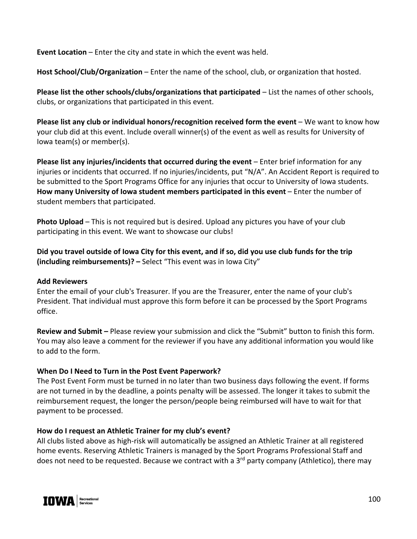**Event Location** – Enter the city and state in which the event was held.

**Host School/Club/Organization** – Enter the name of the school, club, or organization that hosted.

**Please list the other schools/clubs/organizations that participated** – List the names of other schools, clubs, or organizations that participated in this event.

**Please list any club or individual honors/recognition received form the event** – We want to know how your club did at this event. Include overall winner(s) of the event as well as results for University of Iowa team(s) or member(s).

**Please list any injuries/incidents that occurred during the event** – Enter brief information for any injuries or incidents that occurred. If no injuries/incidents, put "N/A". An Accident Report is required to be submitted to the Sport Programs Office for any injuries that occur to University of Iowa students. **How many University of Iowa student members participated in this event** – Enter the number of student members that participated.

**Photo Upload** – This is not required but is desired. Upload any pictures you have of your club participating in this event. We want to showcase our clubs!

**Did you travel outside of Iowa City for this event, and if so, did you use club funds for the trip (including reimbursements)? –** Select "This event was in Iowa City"

## **Add Reviewers**

Enter the email of your club's Treasurer. If you are the Treasurer, enter the name of your club's President. That individual must approve this form before it can be processed by the Sport Programs office.

**Review and Submit –** Please review your submission and click the "Submit" button to finish this form. You may also leave a comment for the reviewer if you have any additional information you would like to add to the form.

## **When Do I Need to Turn in the Post Event Paperwork?**

The Post Event Form must be turned in no later than two business days following the event. If forms are not turned in by the deadline, a points penalty will be assessed. The longer it takes to submit the reimbursement request, the longer the person/people being reimbursed will have to wait for that payment to be processed.

## **How do I request an Athletic Trainer for my club's event?**

All clubs listed above as high-risk will automatically be assigned an Athletic Trainer at all registered home events. Reserving Athletic Trainers is managed by the Sport Programs Professional Staff and does not need to be requested. Because we contract with a 3<sup>rd</sup> party company (Athletico), there may

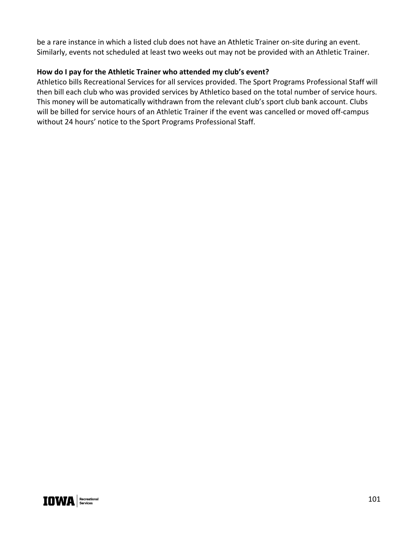be a rare instance in which a listed club does not have an Athletic Trainer on-site during an event. Similarly, events not scheduled at least two weeks out may not be provided with an Athletic Trainer.

# **How do I pay for the Athletic Trainer who attended my club's event?**

Athletico bills Recreational Services for all services provided. The Sport Programs Professional Staff will then bill each club who was provided services by Athletico based on the total number of service hours. This money will be automatically withdrawn from the relevant club's sport club bank account. Clubs will be billed for service hours of an Athletic Trainer if the event was cancelled or moved off-campus without 24 hours' notice to the Sport Programs Professional Staff.

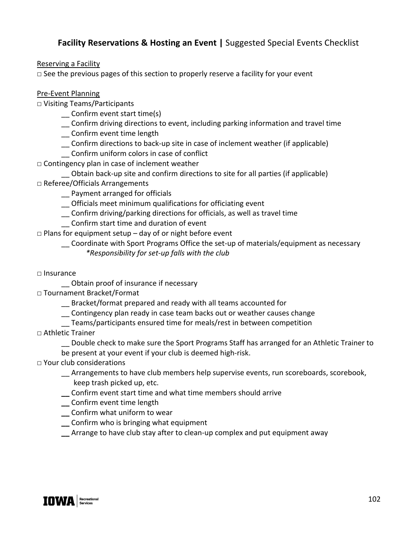# **Facility Reservations & Hosting an Event |** Suggested Special Events Checklist

Reserving a Facility

**□** See the previous pages of this section to properly reserve a facility for your event

# Pre-Event Planning

**□** Visiting Teams/Participants

- \_\_ Confirm event start time(s)
- \_\_ Confirm driving directions to event, including parking information and travel time
- \_\_ Confirm event time length
- \_\_ Confirm directions to back-up site in case of inclement weather (if applicable)
- \_\_ Confirm uniform colors in case of conflict
- **□** Contingency plan in case of inclement weather
- \_\_ Obtain back-up site and confirm directions to site for all parties (if applicable) **□** Referee/Officials Arrangements
	- \_\_ Payment arranged for officials
	- \_\_ Officials meet minimum qualifications for officiating event
	- \_\_ Confirm driving/parking directions for officials, as well as travel time
	- \_\_ Confirm start time and duration of event
- **□** Plans for equipment setup day of or night before event
	- \_\_ Coordinate with Sport Programs Office the set-up of materials/equipment as necessary *\*Responsibility for set-up falls with the club*
- **□** Insurance
	- \_\_ Obtain proof of insurance if necessary
- **□** Tournament Bracket/Format
	- \_\_ Bracket/format prepared and ready with all teams accounted for
	- \_\_ Contingency plan ready in case team backs out or weather causes change
	- \_\_ Teams/participants ensured time for meals/rest in between competition
- **□** Athletic Trainer
	- \_\_ Double check to make sure the Sport Programs Staff has arranged for an Athletic Trainer to be present at your event if your club is deemed high-risk.
- **□** Your club considerations
	- Arrangements to have club members help supervise events, run scoreboards, scorebook,
	- keep trash picked up, etc.
	- **\_\_** Confirm event start time and what time members should arrive
	- **\_\_** Confirm event time length
	- **\_\_** Confirm what uniform to wear
	- **\_\_** Confirm who is bringing what equipment
	- **\_\_** Arrange to have club stay after to clean-up complex and put equipment away